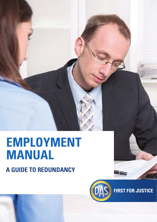# **A guide to redundancy EMPLOYMENT manual**



**FIRST FOR JUSTICE**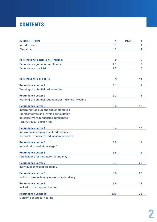## **CONTENTS**

| <b>INTRODUCTION</b>                                 | 1              | <b>PAGE</b><br>3 |
|-----------------------------------------------------|----------------|------------------|
| Introduction                                        | 1.1            | 3                |
| <b>Disclaimer</b>                                   | 1.2            | 4                |
|                                                     |                |                  |
|                                                     |                |                  |
| <b>REDUNDANCY GUIDANCE NOTES</b>                    | $\overline{2}$ | 5                |
| Redundancy guide for employers                      | 2.1            | 5                |
| <b>Redundancy checklist</b>                         | 2.2            | 6                |
| <b>REDUNDANCY LETTERS</b>                           | $\mathbf{3}$   | 13               |
| <b>Redundancy Letter 1</b>                          | 3.1            | 13               |
| Warning of potential redundancies                   |                |                  |
| <b>Redundancy Letter 2</b>                          | 3.2            | 14               |
| Warning of potential redundancies - General Meeting |                |                  |
| <b>Redundancy Letter 3</b>                          | 3.3            | 16               |
| Informing trade unions and/or employee              |                |                  |
| representatives and inviting consultation           |                |                  |
| on collective redundancies pursuant to              |                |                  |
| TULRCA 1992, Section 188                            |                |                  |
| <b>Redundancy Letter 4</b>                          | 3.4            | 17               |
| Informing all employees of redundancy               |                |                  |
| proposals in collective redundancy situations       |                |                  |
| <b>Redundancy Letter 5</b>                          | 3.5            | 18               |
| Individual consultation stage 1                     |                |                  |
| <b>Redundancy Letter 6</b>                          | 3.6            | 19               |
| Applications for voluntary redundancy               |                |                  |
| <b>Redundancy Letter 7</b>                          | 3.7            | 21               |
| Individual consultation stage 2                     |                |                  |
| <b>Redundancy Letter 8</b>                          | 3.8            | 22               |
| Notice of termination by reason of redundancy       |                |                  |
| <b>Redundancy Letter 9</b>                          | 3.9            | 24               |
| Invitation to an appeal hearing                     |                |                  |
| <b>Redundancy Letter 10</b>                         | 3.10           | 25               |
| Outcome of appeal hearing                           |                |                  |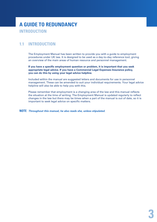## **a Guide to redundancy introduction**

## **1.1 introduction**

The Employment Manual has been written to provide you with a guide to employment procedures under UK law. It is designed to be used as a day-to-day reference tool, giving an overview of the main areas of human resource and personnel management.

**If you have a specific employment question or problem, it is important that you seek appropriate legal advice. If you have a Commercial Legal Expenses Insurance policy, you can do this by using your legal advice helpline.**

Included within the manual are suggested letters and documents for use in personnel management. These can be amended to suit your individual requirements. Your legal advice helpline will also be able to help you with this.

Please remember that employment is a changing area of the law and this manual reflects the situation at the time of writing. The Employment Manual is updated regularly to reflect changes in the law but there may be times when a part of the manual is out of date, so it is important to seek legal advice on specific matters.

**NOTE** *Throughout this manual, he also reads she, unless stipulated.*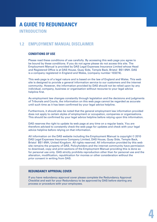## **a Guide to redundancy introduction**

### **1.2 Employment Manual Disclaimer**

#### **Conditions of use**

Please read these conditions of use carefully. By accessing this web page you agree to be bound by these conditions. If you do not agree please do not access this site. The Employment Manual is provided by DAS Legal Expenses Insurance Limited whose Head and Registered Office is at DAS House, Quay Side, Temple Back, Bristol BS1 6NH. DAS is a company registered in England and Wales, (company number 103274).

This web page is of a legal nature and is based on the law of England and Wales. This web site is designed to provide a general information service to our customers and the internet community. However, the information provided by DAS should not be relied upon by any individual, company, business or organisation without recourse to your legal advice helpline first.

As employment law changes constantly through legislation and the decisions and judgments of Tribunals and Courts, the information on this web page cannot be regarded as accurate until such time as it has been confirmed by your legal advice helpline.

Furthermore, it should also be noted that the general employment law information provided does not apply to certain styles of employment or occupation, companies or organisations. This should be confirmed by your legal advice helpline before relying upon this information.

DAS reserves the right to update its web page at any time on a regular basis. You are therefore advised to constantly check the web page for updates and check with your legal advice helpline before relying on that information.

All information on the DAS website including the Employment Manual is copyright © 2010 DAS Legal Expenses Insurance Company Limited, DAS House, Quay Side, Temple Back, Bristol BS1 6NH, United Kingdom. All rights reserved. All information provided by this web site remains the property of DAS. Policyholders and the internet community have permission to download, copy and print sections of the Employment Manual providing this is done so for personal use only. DAS strictly prohibits reproduction other than for personal use and the alteration, modification, republication for monies or other consideration without the prior consent in writing from DAS.

#### **REDUNDANCY APPROVAL COVER**

If you have redundancy approval cover please complete the Redundancy Approval Checklist and wait for your Redundancy to be approved by DAS before starting any process or procedure with your employees.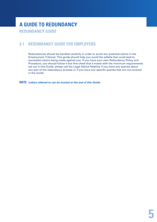### **2.1 REDUNDANCY GUIDE FOR EMPLOYERS**

Redundancies should be handled carefully in order to avoid any potential claims in the Employment Tribunal. This guide should help you avoid the pitfalls that could lead to successful claims being made against you. If you have your own Redundancy Policy and Procedure, you should follow it but first check that it meets with the minimum requirements set out in this Guide, please call the Legal Advice Helpline if you have any queries about any part of the redundancy process or if you have any specific queries that are not covered in the Guide.

**NOTE** *Letters referred to can be located at the end of this Guide.*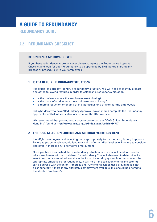### **2.2 REDUNDANCY Checklist**

#### **REDUNDANCY APPROVAL COVER**

If you have redundancy approval cover please complete the Redundancy Approval Checklist and wait for your Redundancy to be approved by DAS before starting any process or procedure with your employees.

#### **1 Is it a genuine redundancy situation?**

It is crucial to correctly identify a redundancy situation. You will need to identify at least one of the following features in order to establish a redundancy situation:

- $\blacksquare$  Is the business where the employees work closing?
- $\blacksquare$  Is the place of work where the employees work closing?
- Is there a reduction or ending of in a particular kind of work for the employee/s?

Policyholders who have 'Redundancy Approval' cover should complete the Redundancy approval checklist which is also located at on the DAS website.

We recommend that you request a copy or download the ACAS Guide 'Redundancy Handling' found at **http://www.acas.org.uk/index.aspx?articleid=747**

#### **2 The pool, selection criteria and alternative employment**

Identifying employees and selecting them appropriately for redundancy is very important. Failure to properly select could lead to a claim of unfair dismissal as will failure to consider and offer (if there is any) alternative employment.

Once you have established that a redundancy situation exists you will need to consider which employees will be considered for redundancy. You will also need to determine if a selection criteria is required, usually in the form of a scoring system in order to select the appropriate employee/s for redundancy. It will help if the selection criteria and scoring can be agreed with the union, if there is one. Any criteria can be used providing it is not discriminatory. If there is any alternative employment available, this should be offered to the affected employee/s.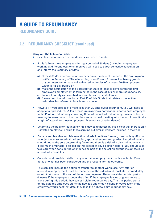## **a Guide to redundancy**

**redundancy guide**

### **2.2 REDUNDANCY Checklist (continued)**

#### **Carry out the following tasks:**

- Calculate the number of redundancies you need to make.
- If this is 20 or more employees during a period of 90 days (including employees working at different locations), then you will need to adopt collective consultation and inform the Secretary of State:
	- **a)** at least 30 days before the notice expires or the date of the end of the employment notify the Secretary of State in writing or on Form HR1 **www.insolvency.gov.uk** of your intention to make collective redundancies of between 20-99 employees within a 45 day period or;
	- **b)** make the notification to the Secretary of State at least 45 days before the first employee's employment is terminated in the case of 100 or more redundancies.
	- **c)** Failure to notify as described in a and b is a criminal offence.
	- **d)** Please read the information at Part 12 of this Guide that relates to collective redundancies referred to in a, b and c above.
- **However, if you propose to make less than 20 employees redundant, you will need to** adopt a fair procedure. (A fair procedure involves a notification letter to each employee in the Pool for redundancy informing them of the risk of redundancy, have a collective meeting to warn them of the risk, then an individual meeting with the employee, finally a right of appeal for those employees given notice of redundancy.)
- Determine the pool for redundancy (this may be unnecessary if it is clear that there is only 1 affected employee). Ensure those carrying out similar work are included in the Pool.
- **Prepare an objective and fair selection criteria in written form e.g. productivity (if it can** be objectively assessed), time keeping, appraisal scores and grades. Length of service should not be the sole determining factor and there is a risk of a discrimination claim if too much emphasis is placed on this aspect of any selection criteria. You should also take care when considering attendance as part of the selection criteria if sickness is as a result of a disability.
- Consider and provide details of any alternative employment that is available. Make notes of what has been considered and the reasons for the outcome.

This can also include the option of transfer to another workplace. Any offer of alternative employment must be made before the old job and must start immediately or within 4 weeks of the end of the old employment. There is a statutory trial period of 4 weeks if the employee accepts the offer. If the employee leaves or gives notice to leave during this period, they can still claim redundancy pay. The trial period starts on the date the employee starts the new job and ends 4 calendar weeks later. If the employee works past that date, they lose the right to claim redundancy pay.

#### **NOTE** A woman on maternity leave MUST be offered any suitable vacancy.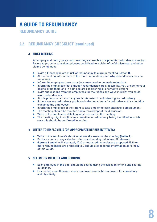### **2.2 REDUNDANCY Checklist (continued)**

#### **3 First meeting**

An employer should give as much warning as possible of a potential redundancy situation. Failure to properly consult employees could lead to a claim of unfair dismissal and other claims being made.

- Invite all those who are at risk of redundancy to a group meeting (Letter 1).
- At the meeting inform them of the risk of redundancy and why redundancies may be necessary.
- Inform the employees how many jobs may need to be made redundant.
- **Inform the employees that although redundancies are a possibility, you are doing your** best to avoid them and in doing so are considering all alternative options.
- Invite suggestions from the employees for their ideas and ways in which you could avoid redundancies.
- At this point you can ask if anyone is interested in volunteering for redundancy.
- If there are any redundancy pools and selection criteria for redundancy, this should be explained the employees.
- **Inform the employees of their right to take time off to seek alternative employment.**
- The meeting should be minuted and a record kept of the discussion.
- Write to the employees detailing what was said at the meeting.
- **The meeting might result in an alternative to redundancy being identified in which** case this should be confirmed in writing.

#### **4 Letter to employee/s (or appropriate representatives)**

- Write to the employee/s about what was discussed at the meeting (Letter 2).
- **Enclose a copy of any selection criteria and scoring guidelines (if relevant).**
- **(Letters 3 and 4)** will also apply if 20 or more redundancies are proposed. If 20 or more redundancies are proposed you should also read the information at Point 12 of this Guide.

#### **5 Selection criteria and scoring**

- **Each employee in the pool should be scored using the selection criteria and scoring** guidelines.
- Ensure that more than one senior employee scores the employees for consistency and objectivity.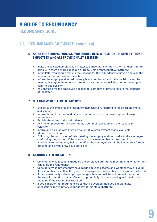## **a Guide to redundancy**

**redundancy guide**

### **2.2 REDUNDANCY Checklist (continued)**

#### **6 After the scoring process, you should be in a position to identify those employees who are provisionally selected.**

- Invite the selected employees by letter to a meeting and inform them of their right to bring with them a work colleague or Trade Union representative **(Letter 5)**.
- In the letter you should explain the reasons for the redundancy situation and also the reason for their provisional selection.
- **Inform the employee that redundancy is not confirmed and if the decision after the** meeting is to give them notice of redundancy then there will be another meeting to confirm this decision.
- You should give the employee a reasonable amount of time to take in the contents of the letter.

#### **7 Meeting with selected employee**

- **Explain to the employee the reason for their selection, referring to the selection criteria** and scoring.
- **Inform them of their individual score and of the score that was required to avoid** redundancy.
- Explain the terms of the redundancy.
- Ask the employee for their comments upon their selection and the reasons for selection.
- Inform and discuss with them any alternative employment that is available.
- **Minute the meeting.**
- Following the conclusion of this meeting, the employer should write to the employee confirming the position. If the outcome of this meeting has not resulted in an alternative to redundancy being identified the employee should be invited to a further meeting and given a few days' notice of it.

#### **8 Actions after the meeting**

- **Consider any suggestions made by the employee during the meeting and whether they** can avoid the redundancy.
- Consider any comments they have made about the scores and whether they are valid if they are this may affect the group of employees who have been provisionally selected.
- If the provisionally selected group changes then you will have to repeat the part of the selection scoring that is affected or potentially all of the scoring will need to be repeated if the scoring has changed.
- If you consider that redundancies cannot be avoided then you should invite applications for voluntary redundancy at this stage **(Letter 6)**.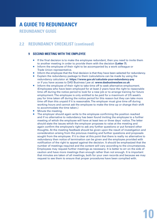### **2.2 REDUNDANCY Checklist (continued)**

#### **9 Second meeting with the employee**

- $\blacksquare$  If the final decision is to make the employee redundant, then you need to invite them to another meeting in order to provide them with the decision **(Letter 7)**.
- **Inform the employee of their right to be accompanied by a work colleague or** Trade Union representative.
- **If inform the employee that the final decision is that they have been selected for redundancy.**
- **Explain the redundancy package to them (calculations can be made by using the** redundancy calculator at: **https://www.gov.uk/calculate-your-redundancy-pay** or if you have access to DAS Business Law at: **www.dasbusinesslaw.co.uk**
- **Inform the employee of their right to take time off to seek alternative employment.** (Employees who have been employed for at least 2 years have the right to reasonable time off during the notice period to look for a new job or to arrange training for future employment. The employee is only entitled to be paid for a maximum of 2/5 week's pay for time taken off during the notice period for this reason but they can take more time off than this unpaid if it is reasonable. The employer must give time off during working hours and cannot ask the employee to make the time up or change their shift to accommodate the time taken.)
- Minute the meeting.
- The employer should again write to the employee confirming the position reached and if no alternative to redundancy has been found inviting the employee to a further meeting of which the employee will have at least two or three days' notice. The letter should state the issues which the employer proposes to raise at the meeting and again confirm the employee's right to ask any further questions or put forward other thoughts. At the meeting feedback should be given upon the result of investigation and consideration arising from the previous meeting and further questions and proposals sought from the employee. If it is clear at this point that there is really no alternative to redundancy then notice of termination can be given and the employee provided with notification of the right to appeal against the decision. It should be emphasized that the number of meetings required and the content will vary according to the circumstances. Employees may request further meetings as necessary. It is better to err on the side of caution and have more meetings than enough rather than not enough. It is important that minutes are taken of all meetings, both for your own records and because we may request to see them to ensure that proper procedures have been complied with.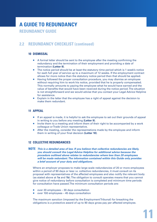### **2.2 REDUNDANCY Checklist (continued)**

#### **10 Dismissal**

- A formal letter should be sent to the employee after the meeting confirming the redundancy and the termination of their employment and providing a date of termination **(Letter 8)**.
- The notice period should be at least the statutory time period which is 1 week's notice for each full year of service up to a maximum of 12 weeks. If the employment contract allows for more notice than the statutory notice period then that should be applied.
- **Having followed the proper consultation procedure, you may dismiss an employee** without requiring him to work his notice, provided that he is properly compensated. This normally amounts to paying the employee what he would have earned and the value of benefits that would have been received during the notice period. The situation is not straightforward and we would advise that you contact your Legal Advice Helpline for assistance.
- **Explain in the letter that the employee has a right of appeal against the decision to** make them redundant.

#### **11 Appeal**

- If an appeal is made, it is helpful to ask the employee to set out their grounds of appeal in writing to you before any meeting **(Letter 9)**.
- Invite them to a meeting and inform them of their right to be accompanied by a work colleague or Trade Union representative.
- After the meeting, consider the representations made by the employee and inform them in writing of your final decision **(Letter 10)**.

#### **12 Collective redundancies**

 **NOTE** *This is a detailed area of law. If you believe that collective redundancies are likely, you should consult the Legal Advice Helpline for additional advice because the procedure outlined above relates to redundancies where less than 20 employees will be made redundant. The information contained within this Guide only provides a brief account of your duty and obligations.*

Where an employer proposes to make large scale redundancies of 20 or more employees within a period of 90 days or less i.e. collective redundancies, it must consult on its proposal with representatives of the affected employees and also notify the relevant body (as stated above at **1a** and **1b**). The obligation to consult operates means that you cannot give notice of redundancy before consultation is completed and minimum time periods for consultation have passed.The minimum consultation periods are:

- over 20 employees 30 days consultation
- over 100 employees 45 days consultation

The maximum sanction (imposed by the Employment Tribunal) for breaching the obligations is a protective award of up to 90 days gross pay per affected employee.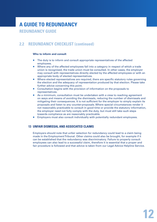## **2.2 REDUNDANCY Checklist (continued)**

#### **Who to inform and consult**

- The duty is to inform and consult appropriate representatives of the affected employees.
- Where any of the affected employees fall into a category in respect of which a trade union is recognised, the trade union must be consulted. In other cases, the employer may consult with representatives directly elected by the affected employees or with an appropriate body of elected representatives.
- **Where elected representatives are required, there are specific statutory rules governing** the election and the adequacy of representation produced by that election. Please take further advice concerning this point.
- **Consultation begins with the provision of information on the proposals to** representatives.
- As a minimum, consultation must be undertaken with a view to reaching agreement on ways and means of avoiding the dismissals, reducing the number of dismissals and mitigating their consequences. It is not sufficient for the employer to simply explain its proposals and listen to any counter-proposals. Where special circumstances render it not reasonably practicable to consult in good time or provide the statutory information, the employer need not fully comply with the duty, but must still take such steps towards compliance as are reasonably practicable.
- **Employers must also consult individually with potentially redundant employees.**

#### **13 Unfair dismissal and associated claims**

Employers should note that unfair selection for redundancy could lead to a claim being made in the Employment Tribunal. Other claims could also be brought, for example if it can be established that the redundancy was discriminatory. Failure to properly consult employees can also lead to a successful claim, therefore it is essential that a proper and fair procedure is followed and that advice is taken from our Legal Advice Helpline Service.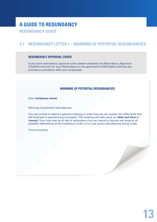### **3.1 Redundancy Letter 1 – Warning of potential redundancies**

#### **REDUNDANCY APPROVAL COVER**

If you have redundancy approval cover please complete the Redundancy Approval Checklist and wait for your Redundancy to be approved by DAS before starting any process or procedure with your employees.

#### **Warning of potential redundancies**

Dear *(employee name)*,

Warning of potential redundancies

You are invited to attend a general meeting in order that we can explain the difficulties that the business is experiencing at present. The meeting will take place on *(date and time)* at *(venue)*. Your role may be at risk of redundancy but we intend to discuss and explore all possible alternatives at the meeting in order to try and avoid redundancies being made.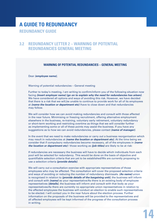### **3.2 Redundancy Letter 2 – Warning of potential redundancies General meeting**

#### **Warning of potential redundancies – General meeting**

Dear *(employee name)*,

Warning of potential redundancies – General meeting

Further to today's meeting, I am writing to confirm/inform you of the following situation now facing *(insert employer name) (go on to explain why the need for redundancies has arisen)*. We have considered all options and ways of avoiding this risk. However, we have decided that there is a risk that we will,be unable to continue to provide work for all of its employees at *(name the location or department etc)* /have to close down and that redundancies may follow.

We will consider how we can avoid making redundancies and consult with those affected in the near future. Minimising or freezing recruitment, offering alternative employment elsewhere in the business, re-training, voluntary early retirement, voluntary redundancy or short-term working and restricting overtime as things that we will consider further as implementing some or all of these points may assist the business. If you have any suggestions as to how we can avoid redundancies, please contact *(name of manager)*.

In the event that we need to make redundancies or carry out a business reorganisation which may result in redundancies at *(name the location or department etc)*. At the time being we consider that if compulsory redundancies become necessary, all of the employees in *(name the location or department etc)* / those working as *(job titles)* are likely to be at risk:

If redundancies are necessary the business will have to decide which individuals from each pool will be selected for redundancy. This would be done on the basis of objective and quantifiable selection criteria that are yet to be established/We are currently proposing to use a selection criteria *(provide details)*.

We will carry out a consultation exercise with appropriate representatives of those employees who may be affected. The consultation will cover the proposed selection criteria and ways of avoiding or reducing the number of redundancy dismissals. *(As name)* union is recognised in relation to *(provide details of the bargaining unit)*, the business will inform and consult with *(name)* as your representative/As there is an existing body of employee representatives *(details)*, the business will inform and consult with that body as your representatives/As there are currently no appropriate union representatives in relation to the affected employees the business will conduct an election to enable such representatives to be elected. I will contact you in the near future about the election process. Further information on the proposals of the business will be provided to the representatives and all affected employees will be kept informed of the progress of the consultation process in writing.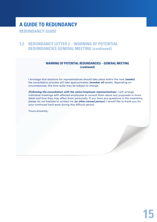### **3.2 Redundancy Letter 2 – Warning of potential redundancies General meeting (continued)**

#### **Warning of potential redundancies – General meeting (continued)**

I envisage that elections for representatives should take place within the next *(weeks)* the consultation process will take approximately *(number of)* weeks, depending on circumstances, this time scale may be subject to change.

*(Following the consultation with the union/employee representatives)*. I will arrange individual meetings with affected employees to consult them about any proposals in more detail and how they may affect them personally. If you have any questions in the meantime, please do not hesitate to contact me *(or other named person)*. I would like to thank you for your continued hard work during this difficult period.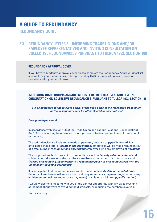**3.3 Redundancy Letter 3 – INFORMING TRADE UNIONS AND/ OR EMPLOYEE REPRESENTATIVES AND INVITING CONSULTATION ON COLLECTIVE REDUNDANCIES PURSUANT TO TULRCA 1992, SECTION 188**

#### **REDUNDANCY APPROVAL COVER**

If you have redundancy approval cover please complete the Redundancy Approval Checklist and wait for your Redundancy to be approved by DAS before starting any process or procedure with your employees.

#### **INFORMING TRADE UNIONS AND/OR EMPLOYEE REPRESENTATIVES AND INVITING CONSULT ATION ON COLLECTIVE REDUNDANCIES
PURSUANT TO TULRCA 1992, SECTION 188**

*(To be addressed to the relevant official at the head office of the recognised trade union or the designated agent for other elected representatives)*.

#### Dear *(employee name)*,

In accordance with section 188 of the Trade Union and Labour Relations (Consolidation) Act 1992, I am writing to inform you of our proposals to dismiss employees for reason of redundancy.

The redundancies are likely to be made at *(location)* because of *(specify reason)*. It is anticipated that a total of *(number and description)* employees will be made redundant out of a total number of *(number and description)* employees who are employed at *(location)*.

The proposed method of selection of redundancy will be *(specify selection criteria)* and, subject to our discussions, the dismissals are likely to be carried out in accordance with *(specify procedure e.g. by reference to a redundancy policy or procedure agreed with the union in any collective agreement)*.

It is anticipated that the redundancies will be made on *(specify date or period of time)*. Redundant employees will receive their statutory redundancy payment (together with any entitlement to business redundancy payments) calculated as follows: *(specify method)*.

I would welcome a meeting with you at the earliest opportunity with a view to reaching agreement about ways of avoiding the dismissals, or reducing the numbers involved.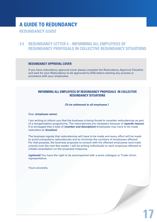### **3.4 Redundancy Letter 4 – INFORMING ALL EMPLOYEES OF REDUNDANCY PROPOSALS IN COLLECTIVE REDUNDANCY SITUATIONS**

#### **REDUNDANCY APPROVAL COVER**

If you have redundancy approval cover please complete the Redundancy Approval Checklist and wait for your Redundancy to be approved by DAS before starting any process or procedure with your employees.

#### **INFORMING ALL EMPLOYEES OF REDUNDANCY PROPOSALS
IN COLLECTIVE REDUNDANCY SITUATIONS**

*(To be addressed to all employees.)*

Dear *(employee name)*,

I am writing to inform you that the business is being forced to consider redundancies as part of a reorganisation programme. The redundancies are necessary because of *(specify reason)*. It is envisaged that a total of *(number and description)* employees may have to be made redundant at *(location)*.

The business regrets that redundancies will have to be made and every effort will be made to avoid compulsory redundancies and to minimise the numbers of employees affected. For that purpose, the business proposes to consult with the affected employees (and trade unions) over the next few weeks. I will be writing individually to each employee affected to initiate consultation on the proposed measures.

*(optional)* You have the right to be accompanied with a work colleague or Trade Union representative.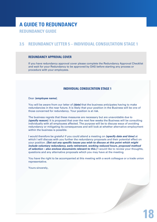### **3.5 Redundancy Letter 5 – INDIVIDUAL CONSULTATION STAGE 1**

#### **REDUNDANCY APPROVAL COVER**

If you have redundancy approval cover please complete the Redundancy Approval Checklist and wait for your Redundancy to be approved by DAS before starting any process or procedure with your employees.

#### **INDIVIDUAL CONSULTATION STAGE 1**

#### Dear *(employee name)*,

You will be aware from our letter of *(date)* that the business anticipates having to make redundancies in the near future. It is likely that your position in the Business will be one of those concerned for redundancy. Your position is at risk.

The business regrets that these measures are necessary but are unavoidable due to *(specify reason)*. It is proposed that over the next few weeks the Business will be consulting individually with all employees affected. The purpose will be to discuss ways of avoiding redundancy or mitigating its consequences and will look at whether alternative employment within the business is possible.

I would therefore be grateful if you could attend a meeting on *(specify date and time)* at which I will discuss with you further the redundancy proposals and their potential effect on your position. *(Set out any specific issues you wish to discuss at this point which might include voluntary redundancy, early retirement, working reduced hours, proposed method of selection – also enclose documents relevant to this.)* I would like to review your thoughts, questions and any alternative proposals which you may have at the meeting.

You have the right to be accompanied at this meeting with a work colleague or a trade union representative.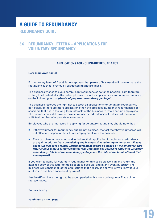### **3.6 Redundancy Letter 6 – Applications for voluntary redundancy**

#### **Applications for voluntary redundancy**

Dear *(employee name)*,

Further to my letter of *(date)*, it now appears that *(name of business)* will have to make the redundancies that I previously suggested might take place.

The business wishes to avoid compulsory redundancies so far as possible. I am therefore writing to all potentially affected employees to ask for applicants for voluntary redundancy on the following terms: *(details of proposed redundancy package)*.

The business reserves the right not to accept all applications for voluntary redundancy, particularly if there are more applications than the proposed number of redundancies or it considers that it is in the long-term interests of the business to retain certain employees. The business may still have to make compulsory redundancies if it does not receive a sufficient number of appropriate volunteers.

Employees who are interested in applying for voluntary redundancy should note that:

- If they volunteer for redundancy but are not selected, the fact that they volunteered will not affect any aspect of their future employment with the business.
- **They can change their mind and withdraw their application for voluntary redundancy** at any time prior to *(date provided by the business that voluntary redundancy will take effect. On that date a formal written agreement should be signed by the employee. This letter should contain confirmation that the employee has agreed to enter into voluntary redundancy, details of the redundancy package and the date of the termination of their employment)*.

If you want to apply for voluntary redundancy on this basis please sign and return the attached copy of this letter to me as soon as possible, and in any event by *(date)*. The business will consider all of the applications that it receives and will let you know if your application has been successful by *(date)*.

*(optional)* You have the right to be accompanied with a work colleague or Trade Union representative.

Yours sincerely,

*continued on next page*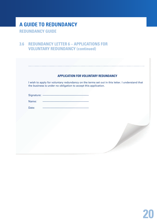### **3.6 Redundancy Letter 6 – Applications for VOLUNTARY REDUNDANCY (continued)**

#### **APPLICATION FOR VOLUNTARY REDUNDANCY**

I wish to apply for voluntary redundancy on the terms set out in this letter. I understand that the business is under no obligation to accept this application.

Signature: -

Name:

Date: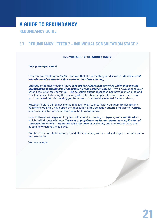### **3.7 Redundancy Letter 7 – INDIVIDUAL CONSULTATION STAGE 2**

#### **INDIVIDUAL CONSULTATION STAGE 2**

Dear *(employee name)*,

I refer to our meeting on *(date)*. I confirm that at our meeting we discussed *(describe what was discussed or alternatively enclose notes of the meeting)*.

Subsequent to that meeting I have *(set out the subsequent activities which may include investigation of alternatives or application of the selection criteria.)* If you have applied such criteria the letter may continue – The selection criteria discussed has now been applied and I enclose a sheet showing the marking which has been applied to you. I am sorry to inform you that based on this marking you have been provisionally selected for redundancy.

However, before a final decision is reached I wish to meet with you again to discuss any comments you may have upon the application of the selection criteria and also to *(further)* explore such alternatives as there may be to redundancy.

I would therefore be grateful if you could attend a meeting on *(specify date and time)* at which I will discuss with you *(insert as appropriate – the issues referred to – application of the selection criteria – alternative roles that may be available)* and any further ideas and questions which you may have.

You have the right to be accompanied at this meeting with a work colleague or a trade union representative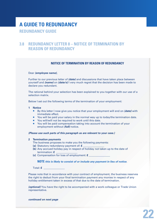### **3.8 Redundancy Letter 8 – NOTICE OF TERMINATION BY REASON OF REDUNDANCY**

#### **NOTICE OF TERMINATION BY REASON OF REDUNDANCY**

#### Dear *(employee name)*,

Further to our previous letter of *(date)* and discussions that have taken place between yourself and *(name)* on *(date/s)* I very much regret that the decision has been made to declare you redundant.

The rational behind your selection has been explained to you together with our use of a selection matrix.

Below I set out the following terms of the termination of your employment:

#### **1 Notice**

- By this letter I now give you notice that your employment will end on (date) with immediate effect.
- You will be paid your salary in the normal way up to today/the termination date.
- You will/will not be required to work until this date.
- You will be paid compensation taking into account the termination of your employment without *(full)* notice.

#### *(Please use such parts of this paragraph as are relevant to your case.)*

#### **2 Termination payments**

- The business proposes to make you the following payments:
- **(a)** Statutory redundancy payment of: **£** \_\_\_\_\_\_\_\_\_\_\_\_\_\_\_\_
- **(b)** Any accrued holiday pay in respect of holiday not taken up to the date of termination: **£** \_\_\_\_\_\_\_\_\_\_\_\_\_\_\_\_
- **(c)** Compensation for loss of employment: **£** \_\_\_\_\_\_\_\_\_\_\_\_\_\_\_\_

#### **NOTE** *this is likely to consist of or include any payment in lieu of notice*.

Total: **£** \_\_\_\_\_\_\_\_\_\_\_\_\_\_\_\_

Please note that in accordance with your contract of employment, the business reserves the right to deduct from your final termination payment any monies in respect of any holiday entitlement taken in excess of that due to the date of termination.

*(optional)* You have the right to be accompanied with a work colleague or Trade Union representative.

*continued on next page*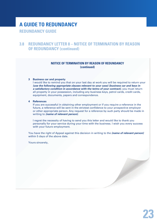## **a Guide to redundancy**

**redundancy guide**

### **3.8 Redundancy Letter 8 – NOTICE OF TERMINATION BY REASON OF REDUNDANCY (continued)**

#### **NOTICE OF TERMINATION BY REASON OF REDUNDANCY (continued)**

#### **3 Business car and property**

I would like to remind you that on your last day at work you will be required to return your *(use the following appropriate clauses relevant to your case) (business car and keys in a satisfactory condition in accordance with the terms of your contract)*, you must return all property in your possession, including any business keys, petrol cards, credit cards, equipment, documents, papers and correspondence.

#### **4 References**

If you are successful in obtaining other employment or if you require a reference in the future, a reference will be sent in the strictest confidence to your prospective employer or other appropriate person. Any request for a reference by such party should be made in writing to *(name of relevant person)*.

I regret the necessity of having to send you this letter and would like to thank you personally for your service during your time with the business. I wish you every success with your future employment.

You have the right of Appeal against this decision in writing to the *(name of relevant person)* within 5 days of the above date.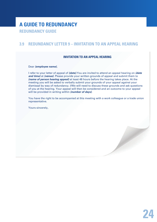### **3.9 Redundancy Letter 9 – invitation to an appeal hearing**

#### **invitation to an appeal hearing**

#### Dear *(employee name)*,

I refer to your letter of appeal of *(date)*.You are invited to attend an appeal hearing on *(date and time)* at *(venue)*. Please provide your written grounds of appeal and submit them to *(name of person hearing appeal)* at least 48 hours before the hearing takes place. At the meeting you will be asked to verbally submit your grounds of your appeal against your dismissal by way of redundancy. I/We will need to discuss these grounds and ask questions of you at the hearing. Your appeal will then be considered and an outcome to your appeal will be provided in writing within *(number of days)*.

You have the right to be accompanied at this meeting with a work colleague or a trade union representative.

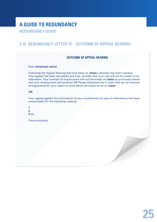### **3.10 Redundancy Letter 10 – Outcome of Appeal Hearing**

#### **Outcome of Appeal Hearing**

#### Dear *(employee name)*,

Following the Appeal Hearing that took place on *(date)* a decision has been reached. Your appeal has been successful and I/we consider that your role will not be made/ is not redundant. Your contract of employment will not terminate on *(date)* as previously stated and your employment will continue OR Please telephone me in order that we can discuss arrangements for your return to work which we expect to be on *(date)*.

#### *OR*

Your appeal against the termination of your employment by way of redundancy has been unsuccessful for the following reasons: